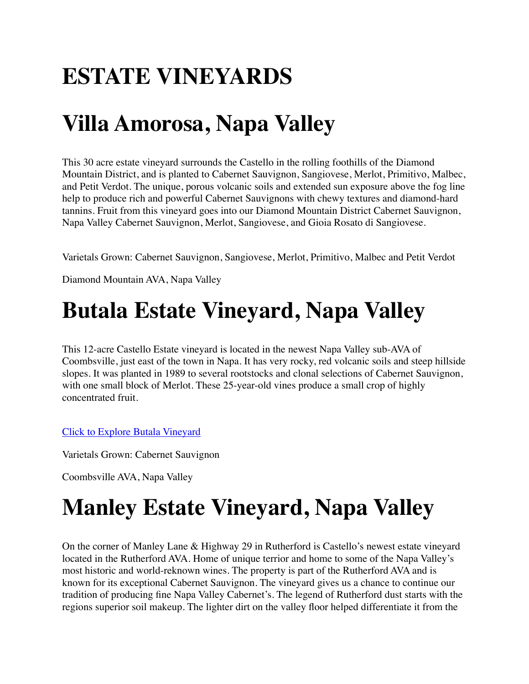# **ESTATE VINEYARDS**

# **Villa Amorosa, Napa Valley**

This 30 acre estate vineyard surrounds the Castello in the rolling foothills of the Diamond Mountain District, and is planted to Cabernet Sauvignon, Sangiovese, Merlot, Primitivo, Malbec, and Petit Verdot. The unique, porous volcanic soils and extended sun exposure above the fog line help to produce rich and powerful Cabernet Sauvignons with chewy textures and diamond-hard tannins. Fruit from this vineyard goes into our Diamond Mountain District Cabernet Sauvignon, Napa Valley Cabernet Sauvignon, Merlot, Sangiovese, and Gioia Rosato di Sangiovese.

Varietals Grown: Cabernet Sauvignon, Sangiovese, Merlot, Primitivo, Malbec and Petit Verdot

Diamond Mountain AVA, Napa Valley

## **Butala Estate Vineyard, Napa Valley**

This 12-acre Castello Estate vineyard is located in the newest Napa Valley sub-AVA of Coombsville, just east of the town in Napa. It has very rocky, red volcanic soils and steep hillside slopes. It was planted in 1989 to several rootstocks and clonal selections of Cabernet Sauvignon, with one small block of Merlot. These 25-year-old vines produce a small crop of highly concentrated fruit.

[Click to Explore Butala Vineyard](https://castellodiamorosa.com/butala/)

Varietals Grown: Cabernet Sauvignon

Coombsville AVA, Napa Valley

# **Manley Estate Vineyard, Napa Valley**

On the corner of Manley Lane & Highway 29 in Rutherford is Castello's newest estate vineyard located in the Rutherford AVA. Home of unique terrior and home to some of the Napa Valley's most historic and world-reknown wines. The property is part of the Rutherford AVA and is known for its exceptional Cabernet Sauvignon. The vineyard gives us a chance to continue our tradition of producing fine Napa Valley Cabernet's. The legend of Rutherford dust starts with the regions superior soil makeup. The lighter dirt on the valley floor helped differentiate it from the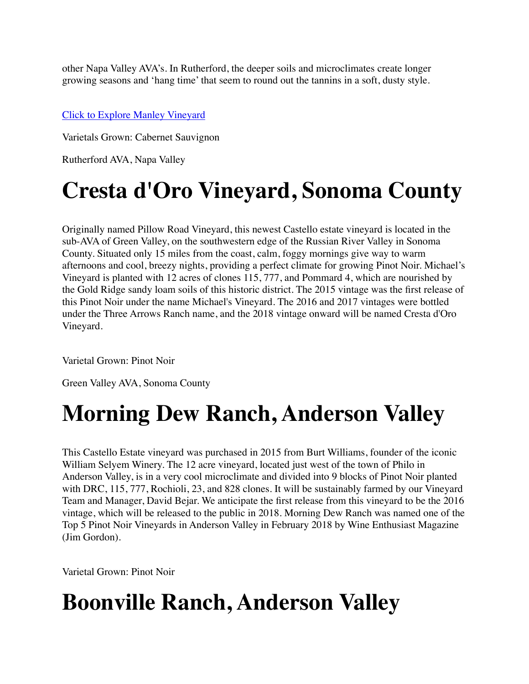other Napa Valley AVA's. In Rutherford, the deeper soils and microclimates create longer growing seasons and 'hang time' that seem to round out the tannins in a soft, dusty style.

#### [Click to Explore Manley Vineyard](https://castellodiamorosa.com/manley-vineyard/)

Varietals Grown: Cabernet Sauvignon

Rutherford AVA, Napa Valley

## **Cresta d'Oro Vineyard, Sonoma County**

Originally named Pillow Road Vineyard, this newest Castello estate vineyard is located in the sub-AVA of Green Valley, on the southwestern edge of the Russian River Valley in Sonoma County. Situated only 15 miles from the coast, calm, foggy mornings give way to warm afternoons and cool, breezy nights, providing a perfect climate for growing Pinot Noir. Michael's Vineyard is planted with 12 acres of clones 115, 777, and Pommard 4, which are nourished by the Gold Ridge sandy loam soils of this historic district. The 2015 vintage was the first release of this Pinot Noir under the name Michael's Vineyard. The 2016 and 2017 vintages were bottled under the Three Arrows Ranch name, and the 2018 vintage onward will be named Cresta d'Oro Vineyard.

Varietal Grown: Pinot Noir

Green Valley AVA, Sonoma County

## **Morning Dew Ranch, Anderson Valley**

This Castello Estate vineyard was purchased in 2015 from Burt Williams, founder of the iconic William Selyem Winery. The 12 acre vineyard, located just west of the town of Philo in Anderson Valley, is in a very cool microclimate and divided into 9 blocks of Pinot Noir planted with DRC, 115, 777, Rochioli, 23, and 828 clones. It will be sustainably farmed by our Vineyard Team and Manager, David Bejar. We anticipate the first release from this vineyard to be the 2016 vintage, which will be released to the public in 2018. Morning Dew Ranch was named one of the Top 5 Pinot Noir Vineyards in Anderson Valley in February 2018 by Wine Enthusiast Magazine (Jim Gordon).

Varietal Grown: Pinot Noir

## **Boonville Ranch, Anderson Valley**